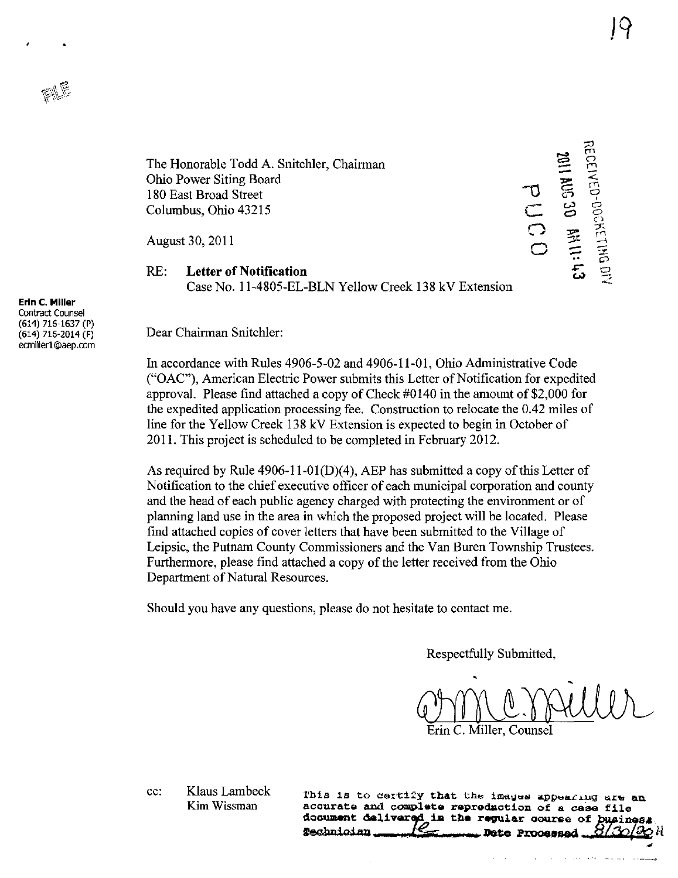

The Honorable Todd A. Snitchler, Chairman Ohio Power Siting Board 180 East Broad Street Columbus, Ohio 43215

August 30, 2011

## RE: Letter of Notification Case No. 11-4805-EL-BLN Yellow Creek 138 kV Extension

 $\frac{U}{1}$ \*— C<br>O •x>  $\bf \Xi$  ្រ  $=$   $=$  $\frac{1}{5}$   $\frac{5}{5}$  $\tilde{\sigma}$  as  $\bullet$   $\frac{8}{3}$  $\overline{\phantom{a}}$  ,  $\overline{\phantom{a}}$  $\begin{bmatrix} 1 \ \mathbf{5} \ \mathbf{9} \end{bmatrix}$ 

Erin C. Miller Contract Counsel (614) 716-1637 (P) (614) 716-2014 (F) [ecmillerl@aep.com](mailto:ecmillerl@aep.com) 

Dear Chairman Snitchler:

In accordance with Rules 4906-5-02 and 4906-11-01, Ohio Administrative Code ("OAC"), American Electric Power submhs this Letter of Notification for expedited approval. Please find attached a copy of Check #0140 in the amount of \$2,000 for the expedited application processing fee. Construction to relocate the 0.42 miles of line for the Yellow Creek 138 kV Extension is expected to begin in October of 2011. This project is scheduled to be completed in February 2012.

As required by Rule 4906-11-01(D)(4), AEP has submitted a copy of this Letter of Notification to the chief executive officer of each municipal corporation and county and the head of each public agency charged with protecting the environment or of planning land use in the area in which the proposed project will be located. Please find attached copies of cover letters that have been submitted to the Village of Leipsic, the Putnam County Commissioners and the Van Buren Township Trustees. Furthermore, please find attached a copy of the letter received from the Ohio Department of Natural Resources.

Should you have any questions, please do not hesitate to contact me.

Respectfully Submitted,

Onne Mensille Erin C. Miller, Counsel

cc: Klaus Lambeck Kim Wissman

This is to certify that the images appearing are an. accurate and complete reproduction of a case file document delivered in the regular course of busines Technician Date Processed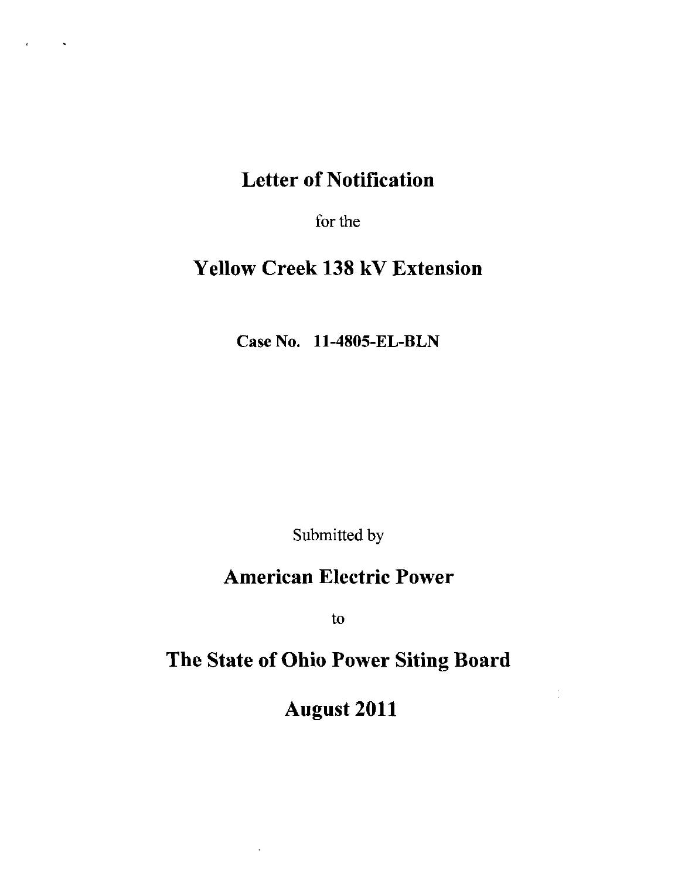# Letter of Notification

 $\sim$ 

for the

# Yellow Creek 138 kV Extension

Case No. 11-4805-EL-BLN

Submitted by

# American Electric Power

to

# The State of Ohio Power Siting Board

August 2011

 $\frac{1}{\sqrt{2}}$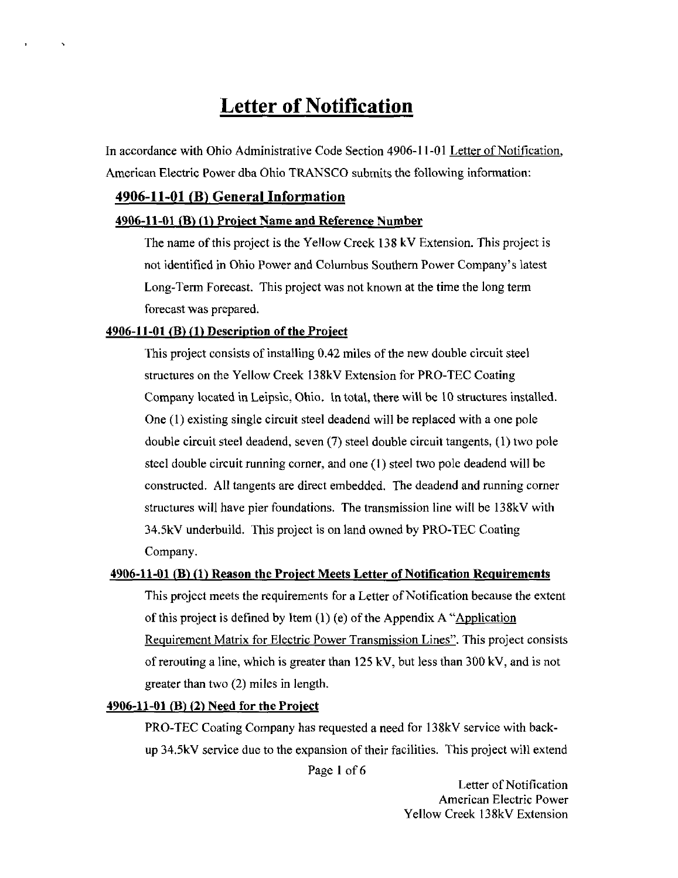# Letter of Notification

In accordance with Ohio Administrative Code Section 4906-11-01 Letter of Notification. American Electric Power dba Ohio TRANSCO submits the following information:

## 4906-11-01 (B) General Information

 $\ddot{\phantom{1}}$ 

#### $4906-11-01$  (B)  $(1)$  Project Name and Reference Number

The name of this project is the Yellow Creek 138 kV Extension. This project is not identified in Ohio Power and Columbus Southem Power Company's latest Long-Term Forecast. This project was not known at the time the long term forecast was prepared.

### $4906-11-01$  (B) (1) Description of the Project

This project consists of installing 0,42 miles of the new double circuit steel structures on the Yellow Creek 138kV Extension for PRO-TEC Coating Company located in Leipsic, Ohio. In total, there will be 10 structures installed. One (1) existing single circuit steel deadend will be replaced with a one pole double circuit steel deadend, seven (7) steel double circuit tangents, (1) two pole steel double circuit running comer, and one (1) steel two pole deadend will be constructed. All tangents are direct embedded. The deadend and running comer structures will have pier foundations. The transmission line will be 138kV with 34.5kV underbuild. This project is on land owned by PRO-TEC Coating Company.

#### 4906-11-01 (B) (1) Reason the Project Meets Letter of Notification Requirements

This project meets the requirements for a Letter of Notification because the extent of this project is defined by Item  $(1)$  (e) of the Appendix A  $\alpha$ Application Requirement Matrix for Electric Power Transmission Lines". This project consists of rerouting a line, which is greater than 125 kV, but less than 300 kV, and is not greater than two (2) miles in length.

#### $4906-11-01$  (B) (2) Need for the Project

PRO-TEC Coating Company has requested a need for 138kV service with backup 34.5kV service due to the expansion of their facilities. This project will extend

Page I of 6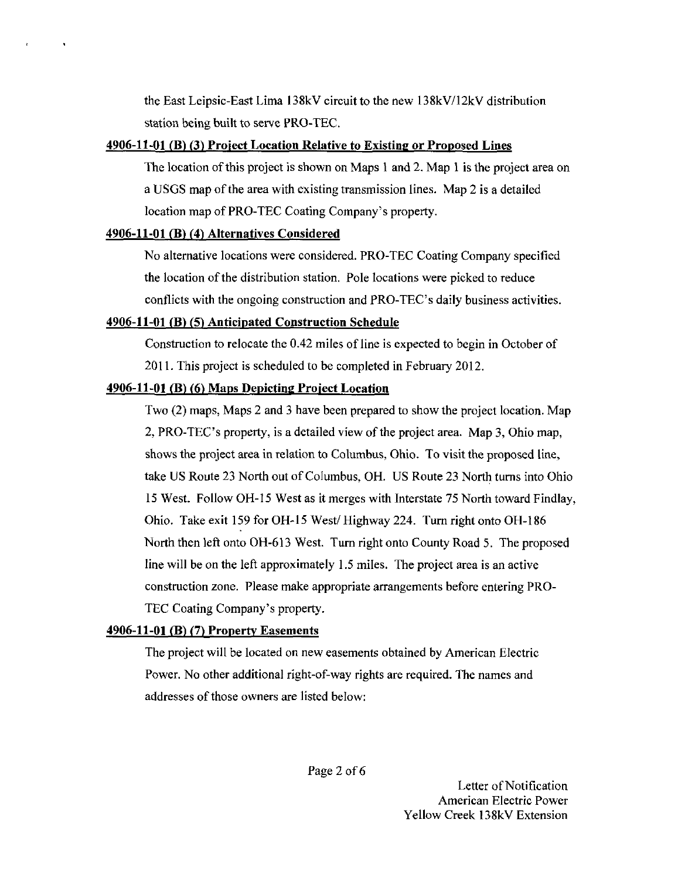the East Leipsic-East Lima l38kV circuit to the new 138kV/12kV distribution station being built to serve PRO-TEC.

## 4906-11-01 (B) (3) Proiect Location Relative to Existing or Proposed Lines

The location of this project is shown on Maps I and 2. Map 1 is the project area on a USGS map of the area with existing transmission lines. Map 2 is a detailed location map of PRO-TEC Coating Company's property,

## 4906-11-01 (B) (41 Alternatives Considered

 $\hat{\mathbf{r}}$ 

No alternative locations were considered. PRO-TEC Coating Company specified the location of the distribution station. Pole locations were picked to reduce conflicts with the ongoing construction and PRO-TEC's daily business activities.

## 4906-11-01 (B) (5) Anticipated Construction Schedule

Construction to relocate the 0.42 miles of line is expected to begin in October of 2011. This project is scheduled to be completed in February 2012,

## 4906-11-01 (B) (6) Maps Depicting Proiect Location

Two (2) maps, Maps 2 and 3 have been prepared to show the project location. Map 2, PRO-TEC's property, is a detailed view of the project area. Map 3, Ohio map, shows the project area in relation to Columbus, Ohio, To visit the proposed line, take US Route 23 North out of Columbus, OH. US Route 23 North turns into Ohio 15 West. Follow OH-15 West as it merges with Interstate 75 North toward Findlay, Ohio. Take exit 159 for OH-15 West/Highway 224. Turn right onto OH-186 North then left onto OH-613 West. Turn right onto County Road 5. The proposed line will be on the left approximately 1.5 miles. The project area is an active construction zone. Please make appropriate arrangements before entering PRO-TEC Coating Company's property.

## 4906-11-01 (B) (7) Property Easements

The project will be located on new easements obtained by American Electric Power. No other additional right-of-way rights are required. The names and addresses of those owners are listed below: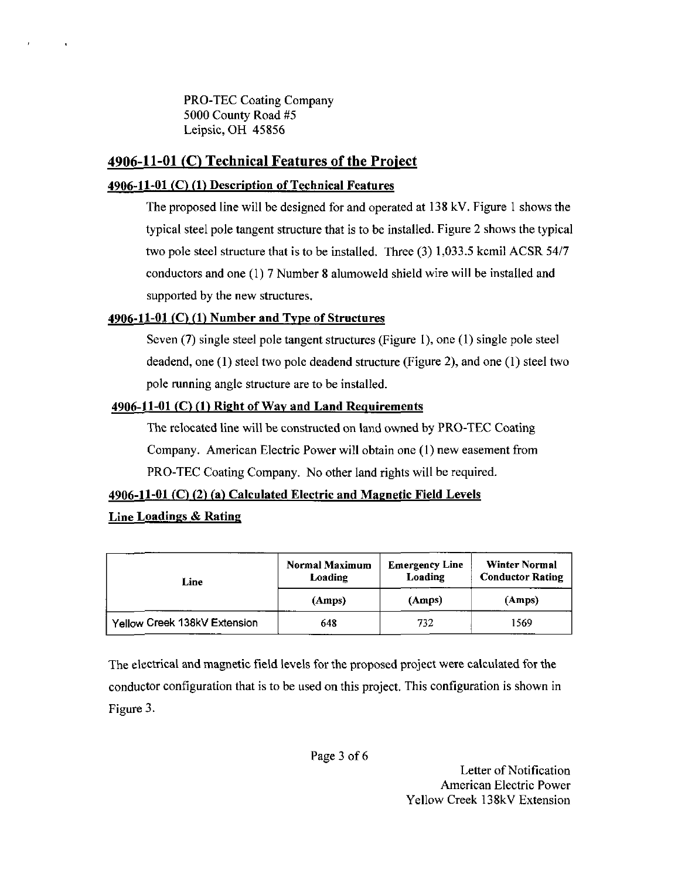PRO-TEC Coating Company 5000 County Road #5 Leipsic, OH 45856

# 4906-11-01 (C) Technical Features of the Project

## 4906-11-01 (C) (1) Description of Technical Features

The proposed line will be designed for and operated at 138 kV. Figure 1 shows the typical steel pole tangent structure that is to be installed. Figure 2 shows the typical two pole steel structure that is to be installed. Three (3) 1,033.5 kcmil ACSR 54/7 conductors and one (1)7 Number 8 alumoweld shield wire will be installed and supported by the new structures,

# 4906-11-01  $(C)$  (1) Number and Type of Structures

Seven (7) single steel pole tangent structures (Figure 1), one (1) single pole steel deadend, one (I) steel two pole deadend structure (Figure 2), and one (1) steel two pole running angle structure are to be installed.

# 4906-11-01 (C) (1) Right of Way and Land Requirements

The relocated line will be constructed on land owned by PRO-TEC Coating Company. American Electric Power will obtain one (1) new easement from PRO-TEC Coating Company. No other land rights will be required.

# 4906-11-01 (C) (2) (a) Calculated Electric and Magnetic Field Levels

# Line Loadings & Rating

 $\ddot{\phantom{a}}$ 

| Line                         | <b>Normal Maximum</b><br><b>Emergency Line</b><br>Loading<br>Loading |        | <b>Winter Normal</b><br><b>Conductor Rating</b> |  |
|------------------------------|----------------------------------------------------------------------|--------|-------------------------------------------------|--|
|                              | (Amps)                                                               | (Amps) | (Amps)                                          |  |
| Yellow Creek 138kV Extension | 648                                                                  | 732    | 1569                                            |  |

The electrical and magnetic field levels for the proposed project were calculated for the conductor configuration that is to be used on this project. This configuration is shown in Figure 3.

Page 3 of 6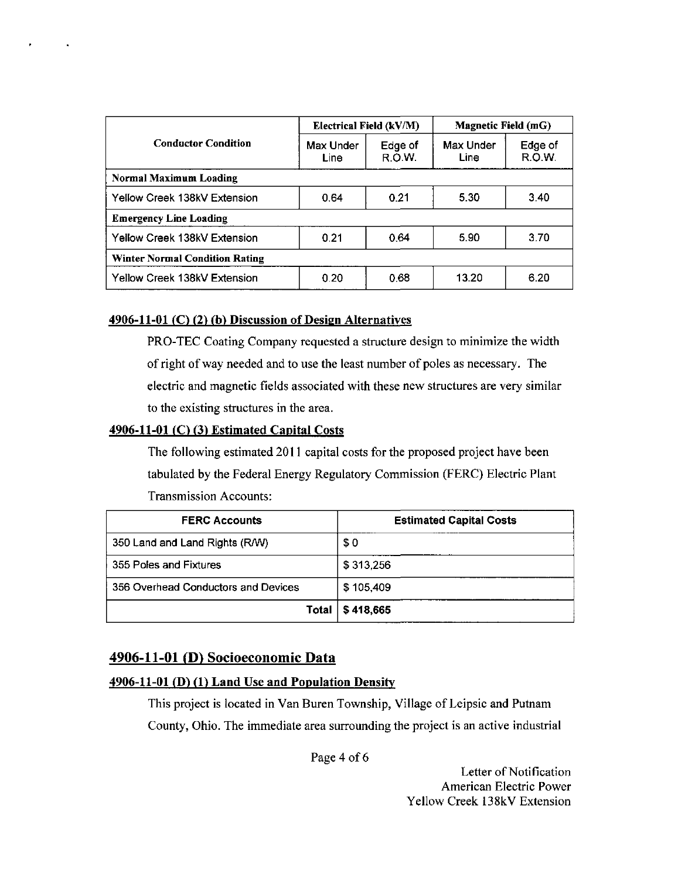|                                       | Electrical Field (kV/M) |                   | Magnetic Field (mG) |                   |  |  |
|---------------------------------------|-------------------------|-------------------|---------------------|-------------------|--|--|
| <b>Conductor Condition</b>            | Max Under<br>Line       | Edge of<br>R.O.W. | Max Under<br>Line   | Edge of<br>R.O.W. |  |  |
| Normal Maximum Loading                |                         |                   |                     |                   |  |  |
| Yellow Creek 138kV Extension          | 0.64                    | 0.21              | 5.30                | 3.40              |  |  |
| <b>Emergency Line Loading</b>         |                         |                   |                     |                   |  |  |
| Yellow Creek 138kV Extension          | 0.21                    | 0.64              | 5.90                | 3.70              |  |  |
| <b>Winter Normal Condition Rating</b> |                         |                   |                     |                   |  |  |
| Yellow Creek 138kV Extension          | 0.20                    | 0.68              | 13.20               | 6.20              |  |  |

## 4906-11-01 (C) (2) (b) Discussion of Design Alternatives

PRO-TEC Coating Company requested a structure design to minimize the width of right of way needed and to use the least number of poles as necessary. The electric and magnetic fields associated with these new structures are very similar to the existing structures in the area.

## 4906-11-01  $(C)$  (3) Estimated Capital Costs

 $\sim 100$ 

The following esfimated 2011 capital costs for the proposed project have been tabulated by the Federal Energy Regulatory Commission (FERC) Electric Plant Transmission Accounts:

| <b>FERC Accounts</b>                | <b>Estimated Capital Costs</b> |
|-------------------------------------|--------------------------------|
| 350 Land and Land Rights (R/W)      | \$0                            |
| 355 Poles and Fixtures              | \$313,256                      |
| 356 Overhead Conductors and Devices | \$105,409                      |
| Total                               | \$418,665                      |

## 4906-11-01 (D) Socioeconomic Data

#### 4906-11-01 (D) (1> Land Use and Population Density

This project is located in Van Buren Township, Village of Leipsic and Putnam County, Ohio. The immediate area surrounding the project is an active industrial

Page 4 of 6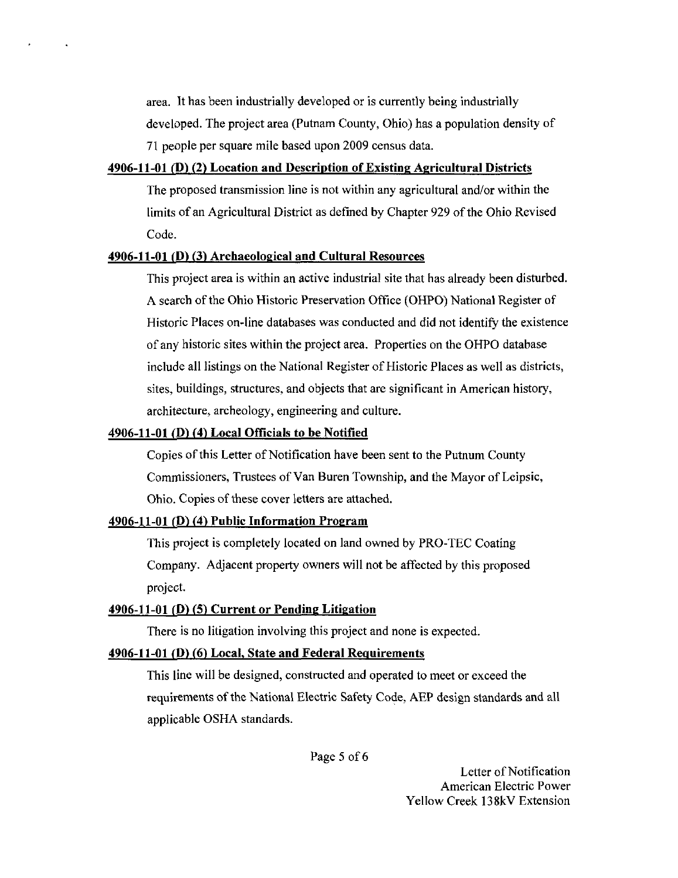area. It has been industrially developed or is currently being industrially developed. The project area (Putnam County, Ohio) has a population density of 71 people per square mile based upon 2009 census data.

### 4906-11-01 (D) (2) Location and Description of Existing Agricultural Districts

The proposed transmission line is not within any agricultural and/or within the limits of an Agricultural District as defined by Chapter 929 of the Ohio Revised Code.

### $4906-11-01$  (D) (3) Archaeological and Cultural Resources

 $\ddot{\phantom{a}}$ 

This project area is within an active industrial site that has already been disturbed. A search of the Ohio Historic Preservation Office (OHPO) National Register of Historic Places on-line databases was conducted and did not identity the existence of any historic sites within the project area. Properties on the OHPO database include all listings on the National Register of Historic Places as well as districts, sites, buildings, structures, and objects that are significant in American history, architecture, archeology, engineering and culture.

#### 4906-11-01 ( $\overline{D}$ ) (4) Local Officials to be Notified

Copies of this Letter of Notification have been sent to the Putnum County Commissioners, Trustees of Van Buren Township, and the Mayor of Leipsic, Ohio. Copies of these cover letters are attached.

### 4906-11-01 (D) (4) Public Information Program

This project is completely located on land owned by PRO-TEC Coating Company. Adjacent property owners will not be affected by this proposed project.

#### $4906-11-01$  (D) (5) Current or Pending Litigation

There is no litigation involving this project and none is expected.

## 4906-11-01 (D) (6) Local, State and Federal Requirements

This line will be designed, constructed and operated to meet or exceed the requirements of the National Electric Safety Code, AEP design standards and all applicable OSHA standards.

Page 5 of 6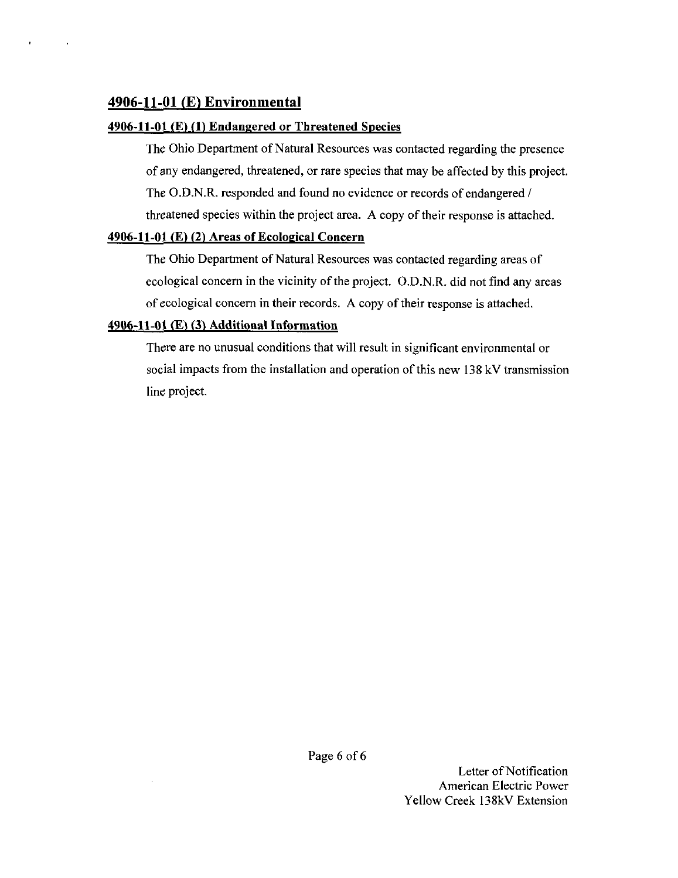# 4906-11-01 (E) Environmental

 $\sim$ 

## $4906-11-01$  (E) (1) Endangered or Threatened Species

The Ohio Department of Natural Resources was contacted regarding the presence of any endangered, threatened, or rare species that may be affected by this project. The O.D.N.R. responded and found no evidence or records of endangered / threatened species within the project area. A copy of their response is attached.

## 4906-11-01 (E) (2) Areas of Ecological Concern

The Ohio Department of Natural Resources was contacted regarding areas of ecological concern in the vicinity of the project. O.D.N.R. did not find any areas of ecological concem in their records. A copy of their response is attached.

## $4906-11-01$  (E) (3) Additional Information

There are no unusual conditions that will result in significant environmental or social impacts from the installation and operation of this new 138 kV transmission line project.

Page 6 of 6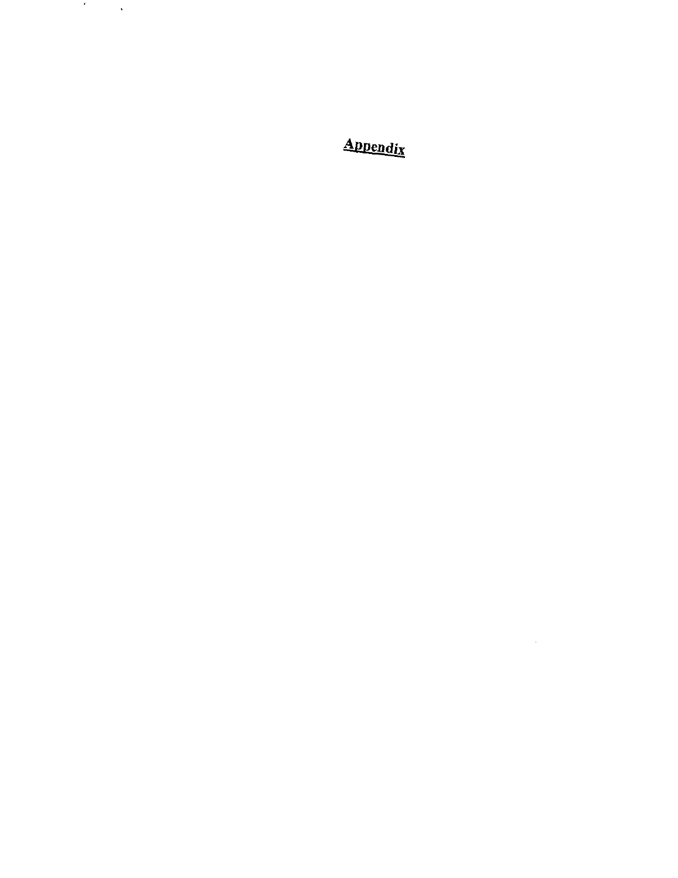Appendix

 $\mathcal{L}^{\text{max}}_{\text{max}}$  and  $\mathcal{L}^{\text{max}}_{\text{max}}$ 

 $\mathcal{F}^{\mathcal{F}}_{\mathcal{F}}$  and  $\mathcal{F}^{\mathcal{F}}_{\mathcal{F}}$  and  $\mathcal{F}^{\mathcal{F}}_{\mathcal{F}}$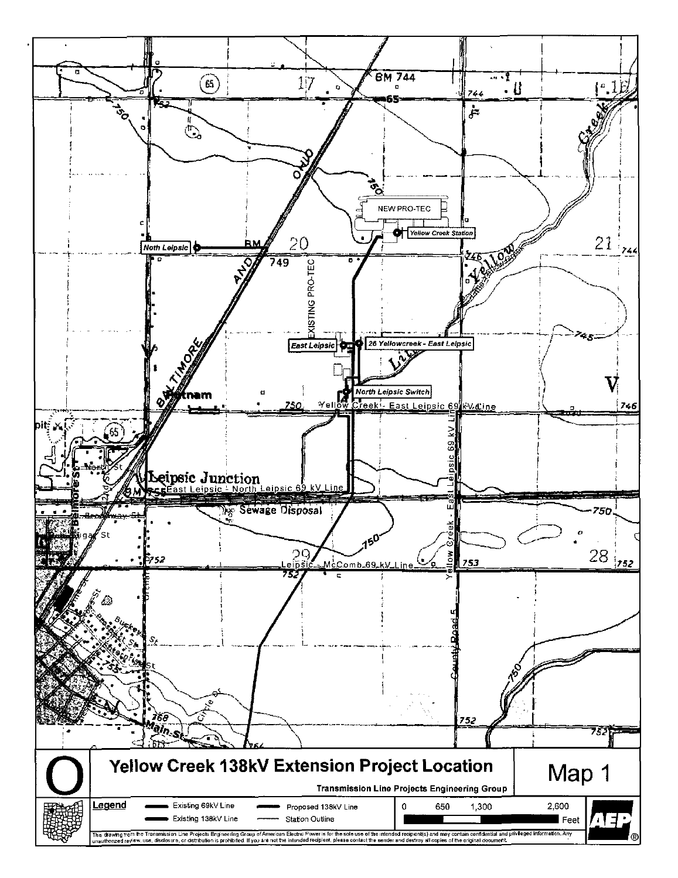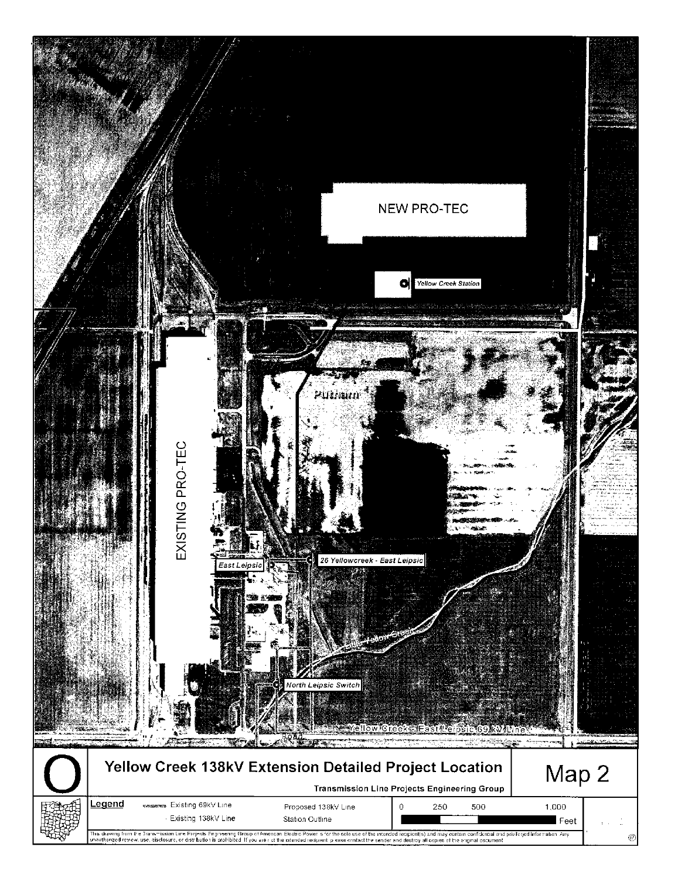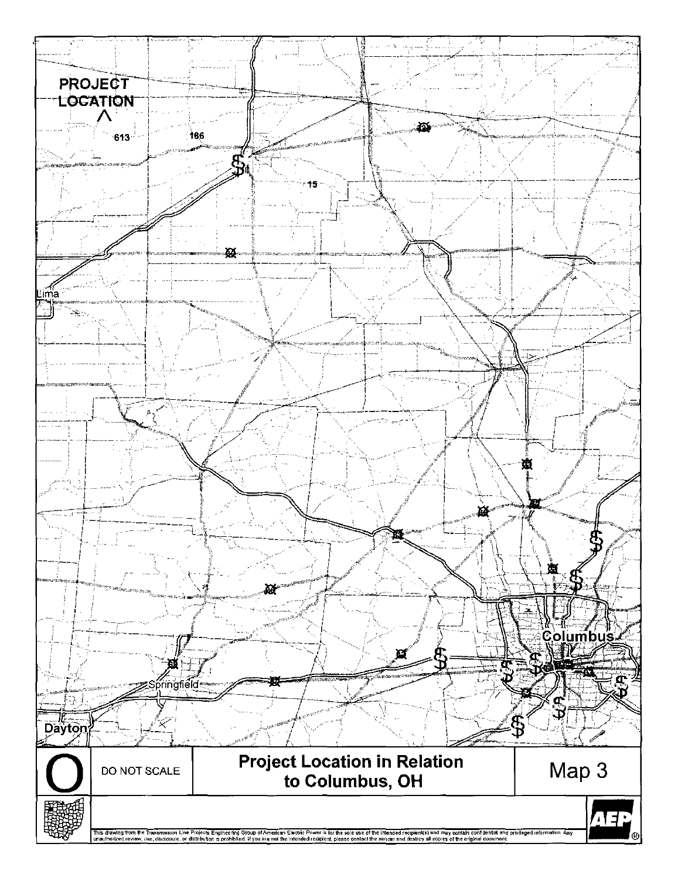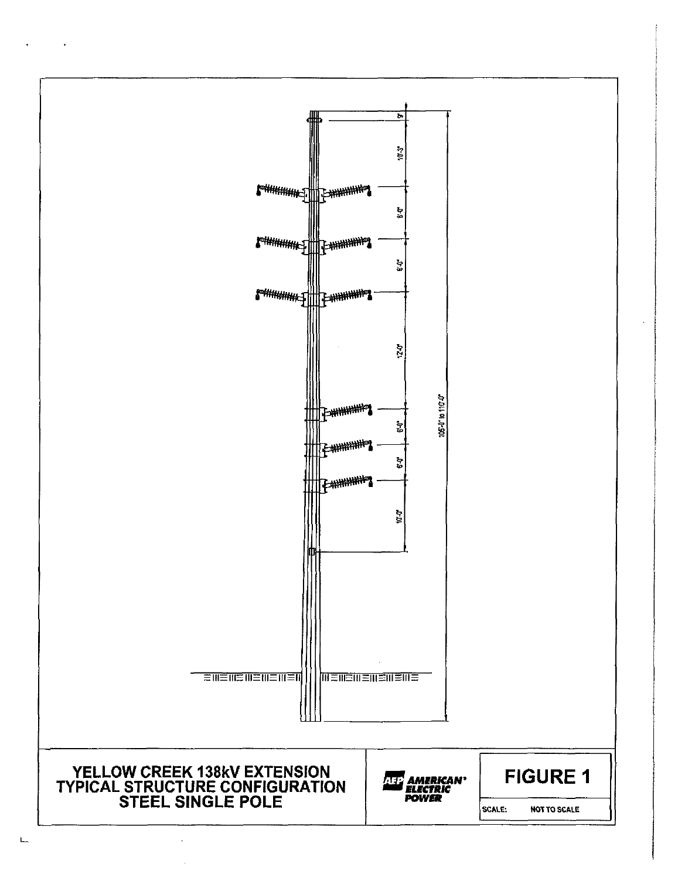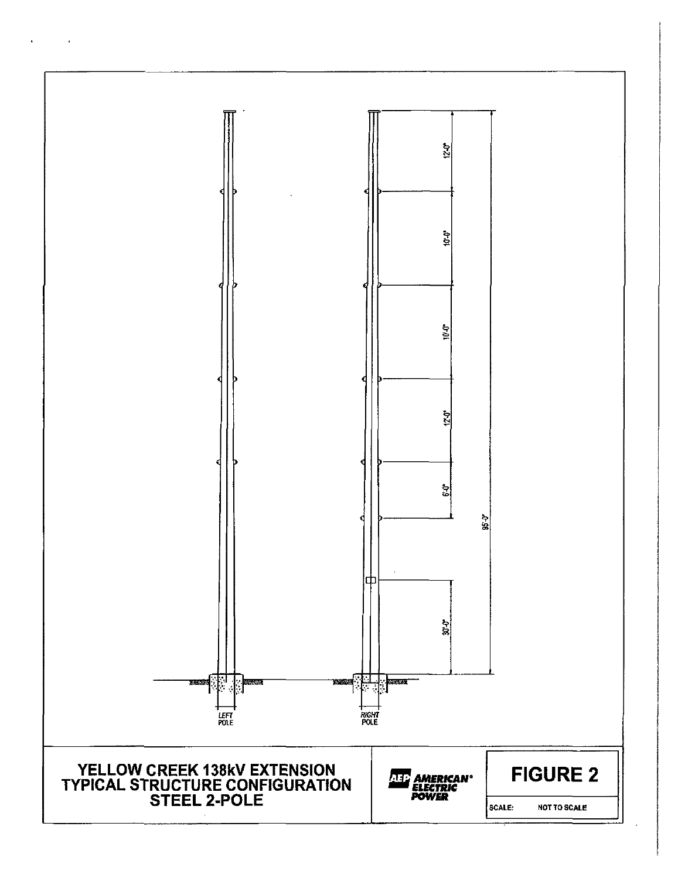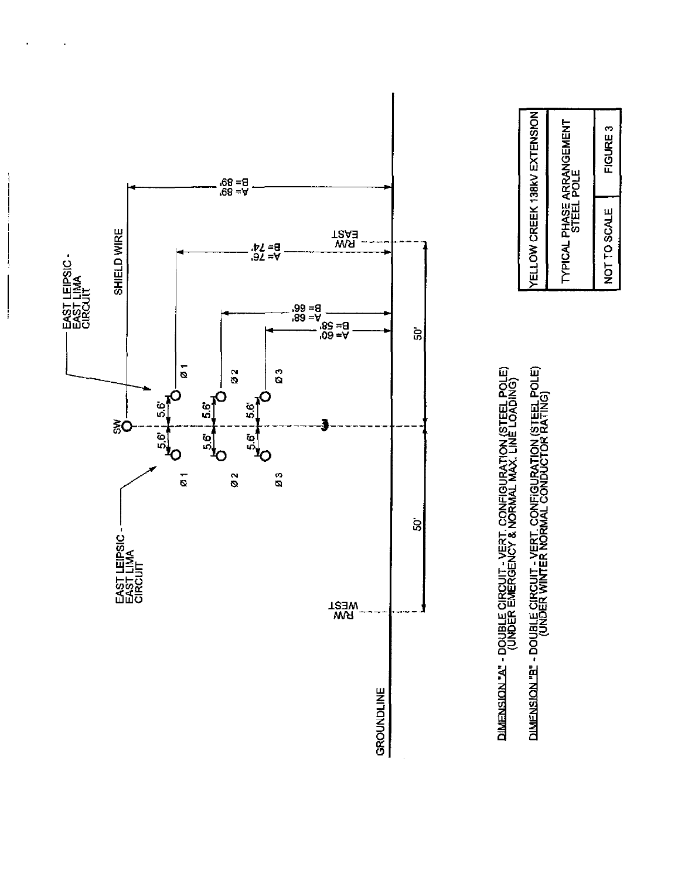

 $\overline{\phantom{a}}$ 



DIMENSION."A" - DOUBLE CIRCUIT - VERT. CONFIGURATION (STEEL POLE)<br>(UNDER EMERGENCY & NORMAL MAX. LINE LOADING) DIMENSION "B" - DOUBLE CIRCUIT - VERT. CONFIGURATION (STEEL POLE)<br>(UNDER WINTER NORMAL CONDUCTOR RATING)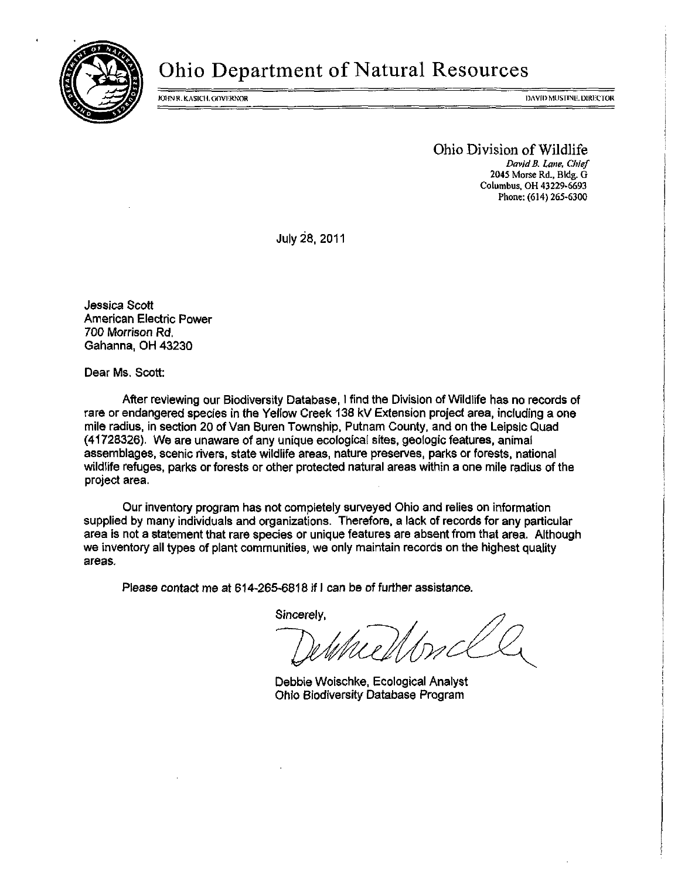

# Ohio Department of Natural Resources

folyne kasich. Governor i de analysis i de analysis i de analysis i de analysis i de analysis i de analysis in

Ohio Division of Wildlife David B. Lane, Chief 2045 Morse Rd., Bldg. G Columbus, OH 43229-6693 Phone: (614) 265-6300

July 28, 2011

Jessica Scott American Electric Power 700 Morrison Rd, Gahanna, OH 43230

Dear Ms. Scott:

After reviewing our Biodiversity Database, I find the Division of Wildlife has no records of rare or endangered species in the Yellow Creek 138 kV Extension project area, including a one mile radius, in section 20 of Van Buren Township, Putnam County, and on the Leipsic Quad (41728326). We are unaware of any unique ecological sites, geologic features, animal assemblages, scenic rivers, state wildlife areas, nature preserves, parks or forests, national wildlife refuges, parks or forests or other protected natural areas within a one mile radius of the project area.

Our inventory program has not completely surveyed Ohio and relies on information supplied by many individuals and organizations. Therefore, a lack of records for any particular area is not a statement that rare species or unique features are absent from that area. Although we inventory all types of plant communities, we only maintain records on the highest quality areas.

Please contact me at 614-265-6818 if I can be of further assistance.

Sincerely.

Debbie Woischke, Ecological Analyst Ohio Biodiversity Database Program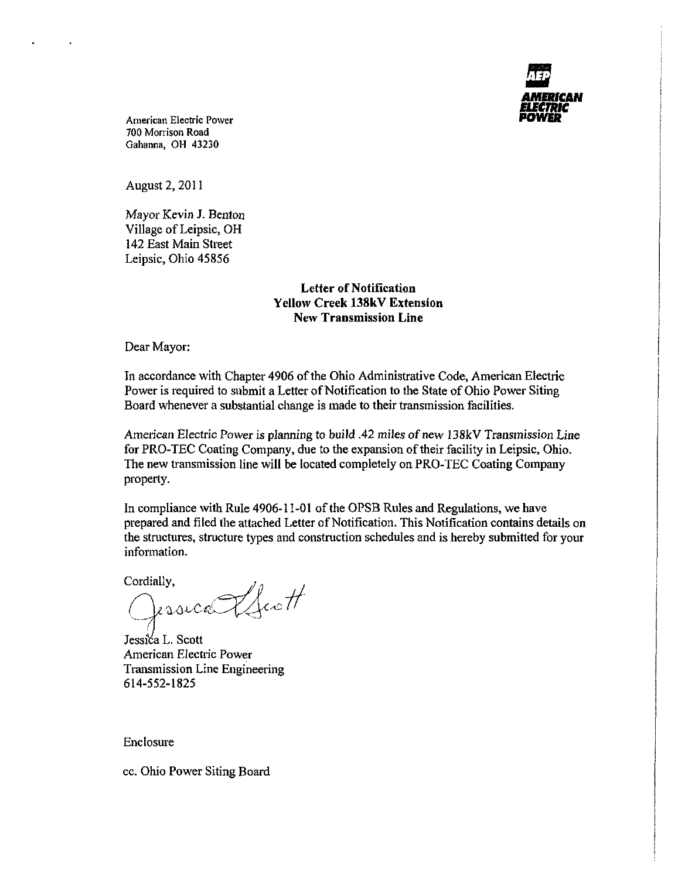AMBUCAN

American Electric Power 700 Morrison Road Gahanna, OH 43230

August 2, 2011

Mayor Kevin J. Benton Village of Leipsic, OH 142 East Main Street Leipsic, Ohio 45856

## Letter of Notification Yellow Creek 138kV Extension New Transmission Line

Dear Mayor:

In accordance with Chapter 4906 of the Ohio Administrative Code, American Electric Power is required to submit a Letter of Notification to the State of Ohio Power Siting Board whenever a substantial change is made to their transmission facilities.

American Electric Power is planning to build .42 miles of new I38kV Transmission Line for PRO-TEC Coating Company, due to the expansion of their facility in Leipsic, Ohio. The new transmission line will be located completely on PRO-TEC Coating Company property.

In compliance with Rule 4906-11-01 of the OPSB Rules and Regulations, we have prepared and filed the attached Letter of Notification. This Notification contains details on the structures, structure types and construction schedules and is hereby submitted for your information.

 $\frac{Cordially,}{\bigcirc}$  asically the off

Jessica L. Scott American Electric Power Transmission Line Engineering 614-552-1825

Enclosure

cc. Ohio Power Siting Board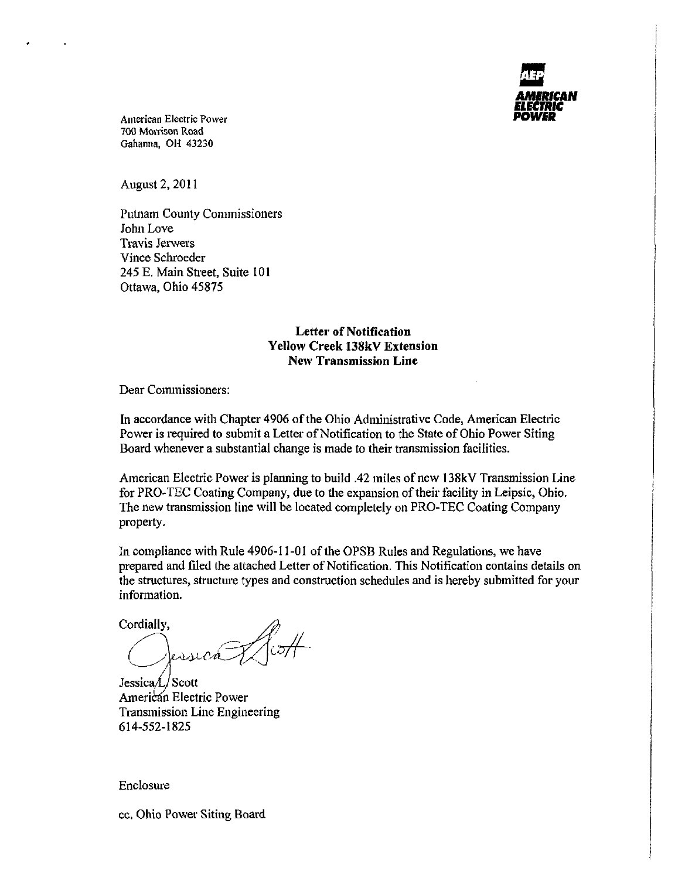

American Electric Power 700 Morrison Road Gahanna, OH 43230

August 2, 2011

Putnam County Commissioners John Love Travis Jerwers Vince Schroeder 245 E. Main Street, Suite 101 Ottawa, Ohio 45875

## Letter of Notification Yellow Creek 138kV Extension New Transmission Line

Dear Commissioners:

In accordance with Chapter 4906 of the Ohio Administrative Code, American Electric Power is required to submit a Letter of Notification to the State of Ohio Power Siting Board whenever a substantial change is made to their transmission facilities.

American Electric Power is planning to build .42 miles of new 138kV Transmission Line for PRO-TEC Coating Company, due to the expansion of their facility in Leipsic, Ohio. The new transmission line will be located completely on PRO-TEC Coating Company property.

In compliance with Rule 4906-11-01 of the OPSB Rules and Regulations, we have prepared and filed the attached Letter of Notification. This Notification contains details on the structures, structure types and construction schedules and is hereby submitted for your information.

Cordially,

 $Jessica/L/Scott$ American Electric Power Transmission Line Engineering 614-552-1825

Enclosure

cc. Ohio Power Siting Board